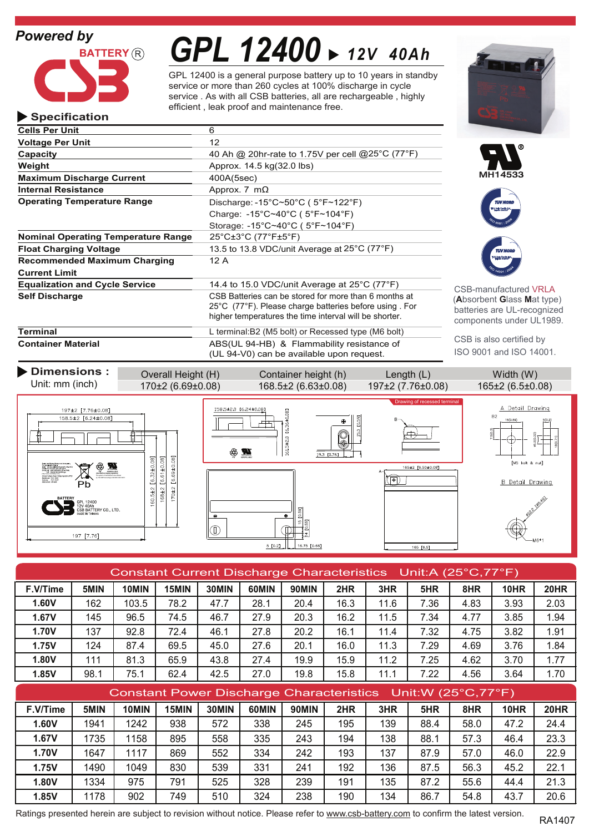# *Powered by*

**Specification**



# *GPL 12400 12V 40Ah*

GPL 12400 is a general purpose battery up to 10 years in standby service or more than 260 cycles at 100% discharge in cycle service . As with all CSB batteries, all are rechargeable , highly efficient , leak proof and maintenance free.

| <b>Cells Per Unit</b>                      | 6                                                                                                                                                                                               |                                                                            |  |  |
|--------------------------------------------|-------------------------------------------------------------------------------------------------------------------------------------------------------------------------------------------------|----------------------------------------------------------------------------|--|--|
| <b>Voltage Per Unit</b>                    | 12 <sup>°</sup>                                                                                                                                                                                 |                                                                            |  |  |
| Capacity                                   | 40 Ah @ 20hr-rate to 1.75V per cell @ 25°C (77°F)                                                                                                                                               |                                                                            |  |  |
| Weight                                     | Approx. 14.5 kg(32.0 lbs)                                                                                                                                                                       |                                                                            |  |  |
| <b>Maximum Discharge Current</b>           | 400A(5sec)                                                                                                                                                                                      | MH14533                                                                    |  |  |
| <b>Internal Resistance</b>                 | Approx. 7 $m\Omega$                                                                                                                                                                             |                                                                            |  |  |
| <b>Operating Temperature Range</b>         | Discharge: -15°C~50°C ( $5$ °F~122°F)                                                                                                                                                           | <b>TUV NORD</b>                                                            |  |  |
|                                            | Charge: $-15^{\circ}$ C $\sim$ 40 $^{\circ}$ C (5 $^{\circ}$ F $\sim$ 104 $^{\circ}$ F)                                                                                                         |                                                                            |  |  |
|                                            | Storage: $-15^{\circ}$ C~40 $^{\circ}$ C (5 $^{\circ}$ F~104 $^{\circ}$ F)                                                                                                                      |                                                                            |  |  |
| <b>Nominal Operating Temperature Range</b> | $25^{\circ}$ C $\pm 3^{\circ}$ C (77 $^{\circ}$ F $\pm 5^{\circ}$ F)                                                                                                                            |                                                                            |  |  |
| <b>Float Charging Voltage</b>              | 13.5 to 13.8 VDC/unit Average at 25°C (77°F)                                                                                                                                                    | <b>TUV NORD</b>                                                            |  |  |
| <b>Recommended Maximum Charging</b>        | 12A                                                                                                                                                                                             | <b><i><u>North Parties</u></i></b>                                         |  |  |
| <b>Current Limit</b>                       |                                                                                                                                                                                                 |                                                                            |  |  |
| <b>Equalization and Cycle Service</b>      | 14.4 to 15.0 VDC/unit Average at $25^{\circ}$ C (77 $^{\circ}$ F)                                                                                                                               | <b>CSB-manufactured VRI</b>                                                |  |  |
| <b>Self Discharge</b>                      | CSB Batteries can be stored for more than 6 months at<br>$25^{\circ}$ C (77 $^{\circ}$ F). Please charge batteries before using . For<br>higher temperatures the time interval will be shorter. | (Absorbent Glass Mat ty<br>batteries are UL-recogn<br>components under UL1 |  |  |
| Terminal                                   | L terminal: B2 (M5 bolt) or Recessed type (M6 bolt)                                                                                                                                             |                                                                            |  |  |
| Container Material                         | ARS(III 94-HR) & Flammability resistance of                                                                                                                                                     | CSB is also certified by                                                   |  |  |

**Container Material** ABS(UL 94-HB) & Flammability resistance of (UL 94-V0) can be available upon request.





**B-manufactured VRLA** (**A**bsorbent **G**lass **M**at type) teries are UL-recognized nponents under UL1989.

ISO 9001 and ISO 14001.

Drawing of recessed terminal

| Dimensions :    | Overall Height (H) | Container height (h)     | Length(L)          | Width (W)     |
|-----------------|--------------------|--------------------------|--------------------|---------------|
| Unit: mm (inch) | 170+2 (6.69+0.08)  | $168.5 + 2(6.63 + 0.08)$ | $197+2(7.76+0.08)$ | $165+2(65+0)$ |

197±2 [7.76±0.08]

 $158.5 \pm 2 [6.24 \pm 0.08]$ 

197 [7.76]

by TUVCERTaccording to ISO9001,ISO14001.

ERY CO., LTD

Ħ

 $168 \pm 2$  [6.61±0.08] 170±2 [6.69±0.08] 60.5±2 [6.32±0.08]







A Detail Drawing

| Constant Current Discharge Characteristics Unit:A (25°C,77°F) |      |       |       |       |       |              |      |      |      |      |      |      |
|---------------------------------------------------------------|------|-------|-------|-------|-------|--------------|------|------|------|------|------|------|
| F.V/Time                                                      | 5MIN | 10MIN | 15MIN | 30MIN | 60MIN | <b>90MIN</b> | 2HR  | 3HR  | 5HR  | 8HR  | 10HR | 20HR |
| 1.60V                                                         | 162  | 103.5 | 78.2  | 47.7  | 28.1  | 20.4         | 16.3 | 11.6 | 7.36 | 4.83 | 3.93 | 2.03 |
| 1.67V                                                         | 145  | 96.5  | 74.5  | 46.7  | 27.9  | 20.3         | 16.2 | 11.5 | 7.34 | 4.77 | 3.85 | 1.94 |
| <b>1.70V</b>                                                  | 137  | 92.8  | 72.4  | 46.1  | 27.8  | 20.2         | 16.1 | 11.4 | 7.32 | 4.75 | 3.82 | 1.91 |
| 1.75V                                                         | 124  | 87.4  | 69.5  | 45.0  | 27.6  | 20.1         | 16.0 | 11.3 | 7.29 | 4.69 | 3.76 | 1.84 |
| 1.80V                                                         | 111  | 81.3  | 65.9  | 43.8  | 27.4  | 19.9         | 15.9 | 11.2 | 7.25 | 4.62 | 3.70 | 1.77 |
| 1.85V                                                         | 98.1 | 75.1  | 62.4  | 42.5  | 27.0  | 19.8         | 15.8 | 11.1 | 7.22 | 4.56 | 3.64 | 1.70 |
| Constant Power Discharge Characteristics Unit: W (25°C, 77°F) |      |       |       |       |       |              |      |      |      |      |      |      |

| Constant r ower Bloomarge Onaracteristics Critery (20 O, 1 T T) |      |       |       |       |       |              |     |     |      |      |             |             |
|-----------------------------------------------------------------|------|-------|-------|-------|-------|--------------|-----|-----|------|------|-------------|-------------|
| F.V/Time                                                        | 5MIN | 10MIN | 15MIN | 30MIN | 60MIN | <b>90MIN</b> | 2HR | 3HR | 5HR  | 8HR  | <b>10HR</b> | <b>20HR</b> |
| 1.60V                                                           | 1941 | 1242  | 938   | 572   | 338   | 245          | 195 | 139 | 88.4 | 58.0 | 47.2        | 24.4        |
| 1.67V                                                           | 1735 | 1158  | 895   | 558   | 335   | 243          | 194 | 138 | 88.1 | 57.3 | 46.4        | 23.3        |
| <b>1.70V</b>                                                    | 1647 | 1117  | 869   | 552   | 334   | 242          | 193 | 137 | 87.9 | 57.0 | 46.0        | 22.9        |
| 1.75V                                                           | 1490 | 1049  | 830   | 539   | 331   | 241          | 192 | 136 | 87.5 | 56.3 | 45.2        | 22.1        |
| 1.80V                                                           | 1334 | 975   | 791   | 525   | 328   | 239          | 191 | 135 | 87.2 | 55.6 | 44.4        | 21.3        |
| 1.85V                                                           | 1178 | 902   | 749   | 510   | 324   | 238          | 190 | 134 | 86.7 | 54.8 | 43.7        | 20.6        |

Ratings presented herein are subject to revision without notice. Please refer to www.csb-battery.com to confirm the latest version.<br>RA1407